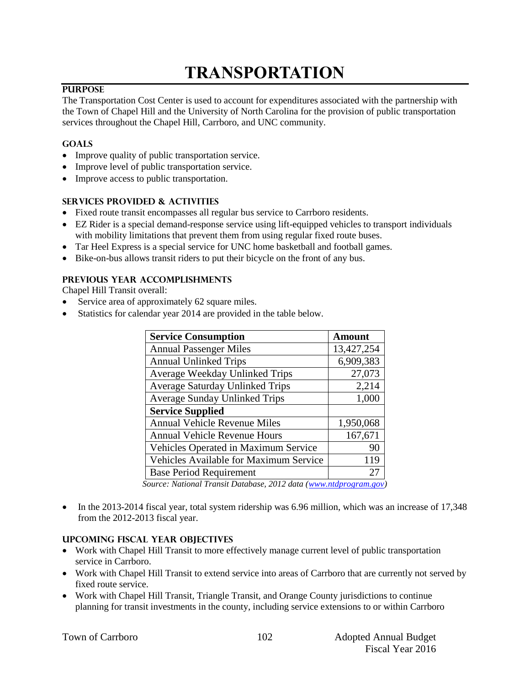# **TRANSPORTATION**

#### **PURPOSE**

The Transportation Cost Center is used to account for expenditures associated with the partnership with the Town of Chapel Hill and the University of North Carolina for the provision of public transportation services throughout the Chapel Hill, Carrboro, and UNC community.

#### **GOALS**

- Improve quality of public transportation service.
- Improve level of public transportation service.
- Improve access to public transportation.

#### **SERVICES PROVIDED & ACTIVITIES**

- Fixed route transit encompasses all regular bus service to Carrboro residents.
- EZ Rider is a special demand-response service using lift-equipped vehicles to transport individuals with mobility limitations that prevent them from using regular fixed route buses.
- Tar Heel Express is a special service for UNC home basketball and football games.
- Bike-on-bus allows transit riders to put their bicycle on the front of any bus.

#### **PREVIOUS YEAR ACCOMPLISHMENTS**

Chapel Hill Transit overall:

- Service area of approximately 62 square miles.
- Statistics for calendar year 2014 are provided in the table below.

| <b>Service Consumption</b>             | <b>Amount</b> |
|----------------------------------------|---------------|
| <b>Annual Passenger Miles</b>          | 13,427,254    |
| <b>Annual Unlinked Trips</b>           | 6,909,383     |
| Average Weekday Unlinked Trips         | 27,073        |
| <b>Average Saturday Unlinked Trips</b> | 2,214         |
| <b>Average Sunday Unlinked Trips</b>   | 1,000         |
| <b>Service Supplied</b>                |               |
| <b>Annual Vehicle Revenue Miles</b>    | 1,950,068     |
| <b>Annual Vehicle Revenue Hours</b>    | 167,671       |
| Vehicles Operated in Maximum Service   | 90            |
| Vehicles Available for Maximum Service | 119           |
| <b>Base Period Requirement</b>         |               |

*Source: National Transit Database, 2012 data [\(www.ntdprogram.gov\)](http://www.ntdprogram.gov/)* 

• In the 2013-2014 fiscal year, total system ridership was 6.96 million, which was an increase of 17,348 from the 2012-2013 fiscal year.

#### **UPCOMING FISCAL YEAR OBJECTIVES**

- Work with Chapel Hill Transit to more effectively manage current level of public transportation service in Carrboro.
- Work with Chapel Hill Transit to extend service into areas of Carrboro that are currently not served by fixed route service.
- Work with Chapel Hill Transit, Triangle Transit, and Orange County jurisdictions to continue planning for transit investments in the county, including service extensions to or within Carrboro